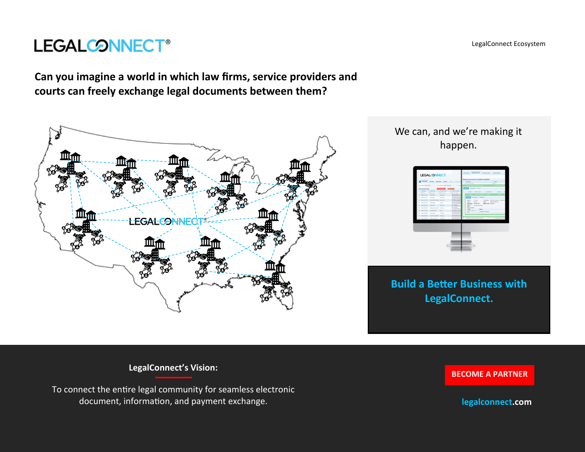**Can you imagine a world in which law firms, service providers and courts can freely exchange legal documents between them?** 

**LEGALCONNECT®** 



**LegalConnect's Vision:** 

To connect the entire legal community for seamless electronic document, information, and payment exchange.

**[BECOME A PARTNER](https://legalconnect.com)**

**legalconnect.com**